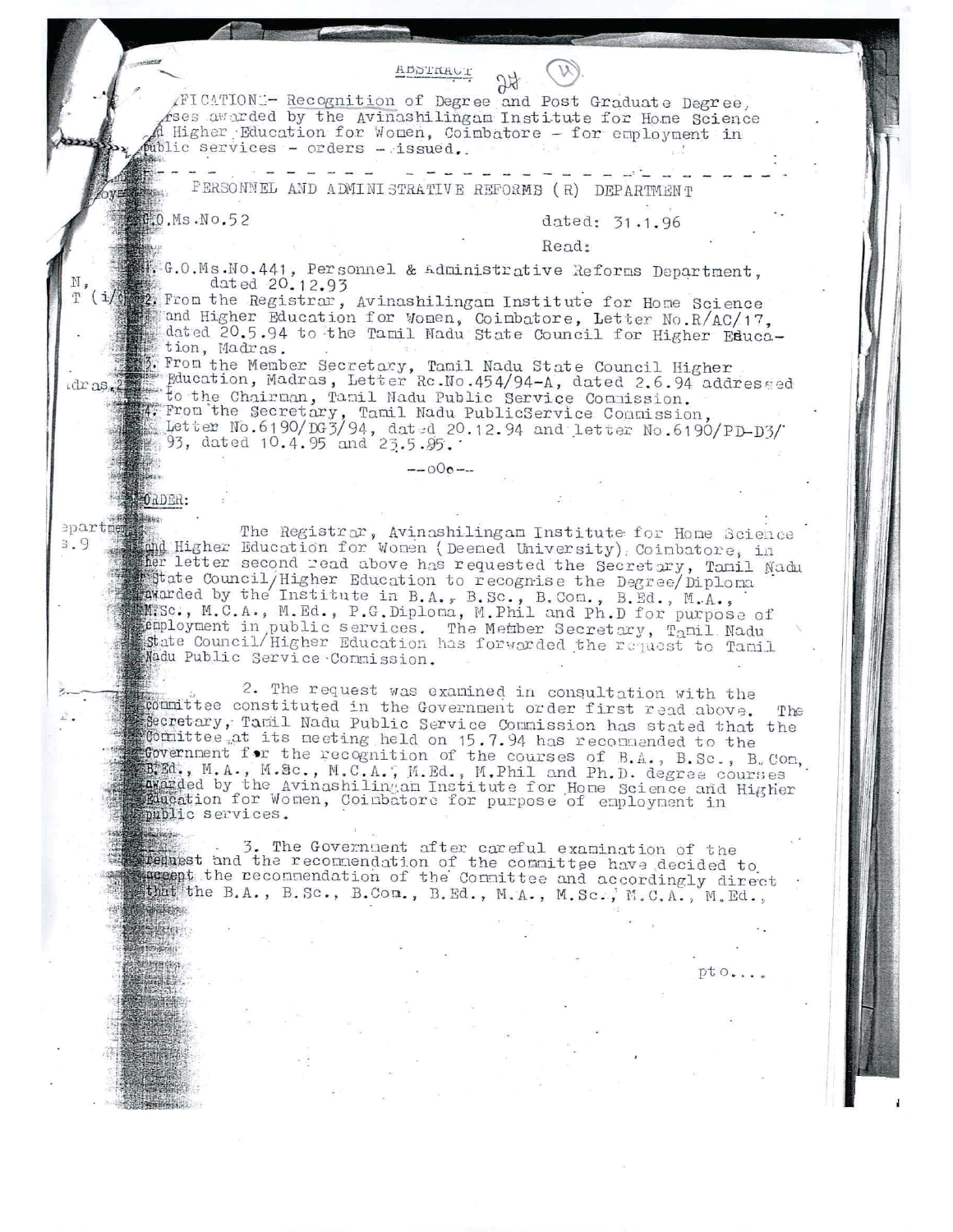| HDSTRHOT                                                                                                                                                                                                                                                                                                                                                                                                                                                                                                                                                                                                                  |
|---------------------------------------------------------------------------------------------------------------------------------------------------------------------------------------------------------------------------------------------------------------------------------------------------------------------------------------------------------------------------------------------------------------------------------------------------------------------------------------------------------------------------------------------------------------------------------------------------------------------------|
| AFICATIONE- Recognition of Degree and Post Graduate Degree,<br>Ases awarded by the Avinashilingan Institute for Home Science<br>Higher Education for Women, Coimbatore - for employment in<br>mblic services - orders - issued.                                                                                                                                                                                                                                                                                                                                                                                           |
| PERSONNEL AND ADMINISTRATIVE REFORMS (R) DEPARTMENT                                                                                                                                                                                                                                                                                                                                                                                                                                                                                                                                                                       |
| ##:0.Ms.No.52<br>dated: 31.1.96                                                                                                                                                                                                                                                                                                                                                                                                                                                                                                                                                                                           |
| Read:                                                                                                                                                                                                                                                                                                                                                                                                                                                                                                                                                                                                                     |
| dated 20.12.93                                                                                                                                                                                                                                                                                                                                                                                                                                                                                                                                                                                                            |
| T (i/ From the Registrar, Avinashilingam Institute for Home Science<br>and Higher Education for Women, Coimbatore, Letter No. R/AC/17,<br>dated 20.5.94 to the Tamil Nadu State Council for Higher Educa-<br>tion, Madras.<br>. From the Member Secretary, Tamil Nadu State Council Higher                                                                                                                                                                                                                                                                                                                                |
| Education, Madras, Letter Rc.No.454/94-A, dated 2.6.94 addressed<br>$idr$ as $l$<br>to the Chairman, Tamil Nadu Public Service Commission.<br>4. From the Secretary, Tamil Nadu PublicService Commission, Letter No.6190/DG3/94, dated 20.12.94 and letter No.6190/PD-D3/<br>93, dated 10.4.95 and 23.5.95.                                                                                                                                                                                                                                                                                                               |
| $-000-$                                                                                                                                                                                                                                                                                                                                                                                                                                                                                                                                                                                                                   |
| <b>MORDER:</b>                                                                                                                                                                                                                                                                                                                                                                                                                                                                                                                                                                                                            |
| epartner<br>The Registrar, Avinashilingam Institute for Home Science<br>3.9<br>that Higher Education for Women (Deemed University) Coimbatore, in<br>ther letter second read above has requested the Secretary, Tamil Nadu<br>State Council/Higher Education to recognise the Degree/Diploma<br>marded by the Institute in B.A., B.Sc., B.Com., B.Ed., M.A.,<br>M.Sc., M.C.A., M.Ed., P.G.Diploma, M.Phil and Ph.D for purpose of<br>$\mathbb{R}$ employment in public services. The Member Secretary, Tamil Nadu<br>state Council/Higher Education has forwarded the request to Tamil<br>Madu Public Service Connission. |
| 2. The request was examined in consultation with the<br>committee constituted in the Government order first read above.<br>The<br>Secretary, Tamil Nadu Public Service Commission has stated that the<br>committee at its meeting held on 15.7.94 has recommended to the<br>fovernment for the recognition of the courses of B.A., B.Sc., B.Con,<br>EBRIC., M.A., M.Sc., M.C.A., M.Ed., M.Phil and Ph.D. degree courses<br>avarded by the Avinashilingam Institute for Home Science and Higher<br>Placation for Women, Coimbatore for purpose of employment in<br>public services.                                        |
| <b>Westwayn</b><br>3. The Government after careful examination of the<br>request and the recommendation of the committee have decided to<br>suggest the recommendation of the Connittee and accordingly direct<br>whitthe B.A., B.Sc., B.Con., B.Ed., M.A., M.Sc., M.C.A., M.Ed.,                                                                                                                                                                                                                                                                                                                                         |
|                                                                                                                                                                                                                                                                                                                                                                                                                                                                                                                                                                                                                           |
| pto                                                                                                                                                                                                                                                                                                                                                                                                                                                                                                                                                                                                                       |
|                                                                                                                                                                                                                                                                                                                                                                                                                                                                                                                                                                                                                           |
|                                                                                                                                                                                                                                                                                                                                                                                                                                                                                                                                                                                                                           |
|                                                                                                                                                                                                                                                                                                                                                                                                                                                                                                                                                                                                                           |
|                                                                                                                                                                                                                                                                                                                                                                                                                                                                                                                                                                                                                           |
|                                                                                                                                                                                                                                                                                                                                                                                                                                                                                                                                                                                                                           |
|                                                                                                                                                                                                                                                                                                                                                                                                                                                                                                                                                                                                                           |
|                                                                                                                                                                                                                                                                                                                                                                                                                                                                                                                                                                                                                           |

ł